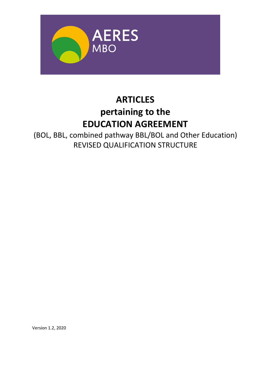

# **ARTICLES pertaining to the EDUCATION AGREEMENT**

(BOL, BBL, combined pathway BBL/BOL and Other Education) REVISED QUALIFICATION STRUCTURE

Version 1.2, 2020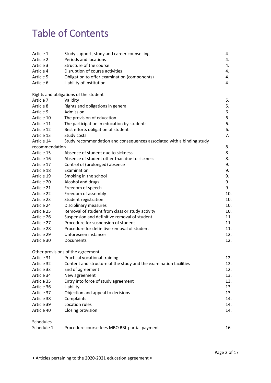# Table of Contents

| Article 1      | Study support, study and career counselling                           | 4.  |
|----------------|-----------------------------------------------------------------------|-----|
| Article 2      | Periods and locations                                                 | 4.  |
| Article 3      | Structure of the course                                               | 4.  |
| Article 4      | Disruption of course activities                                       | 4.  |
| Article 5      | Obligation to offer examination (components)                          | 4.  |
| Article 6      | Liability of institution                                              | 4.  |
|                | Rights and obligations of the student                                 |     |
| Article 7      | Validity                                                              | 5.  |
| Article 8      | Rights and obligations in general                                     | 5.  |
| Article 9      | Admission                                                             | 6.  |
| Article 10     | The provision of education                                            | 6.  |
| Article 11     | The participation in education by students                            | 6.  |
| Article 12     | Best efforts obligation of student                                    | 6.  |
| Article 13     | Study costs                                                           | 7.  |
| Article 14     | Study recommendation and consequences associated with a binding study |     |
| recommendation |                                                                       | 8.  |
| Article 15     | Absence of student due to sickness                                    | 8.  |
| Article 16     | Absence of student other than due to sickness                         | 8.  |
| Article 17     | Control of (prolonged) absence                                        | 9.  |
| Article 18     | Examination                                                           | 9.  |
| Article 19     | Smoking in the school                                                 | 9.  |
| Article 20     | Alcohol and drugs                                                     | 9.  |
| Article 21     | Freedom of speech                                                     | 9.  |
| Article 22     | Freedom of assembly                                                   | 10. |
| Article 23     | Student registration                                                  | 10. |
| Article 24     | Disciplinary measures                                                 | 10. |
| Article 25     | Removal of student from class or study activity                       | 10. |
| Article 26     | Suspension and definitive removal of student                          | 11. |
| Article 27     | Procedure for suspension of student                                   | 11. |
| Article 28     | Procedure for definitive removal of student                           | 11. |
| Article 29     | Unforeseen instances                                                  | 12. |
| Article 30     | Documents                                                             | 12. |
|                | Other provisions of the agreement                                     |     |
| Article 31     | Practical vocational training                                         | 12. |
| Article 32     | Content and structure of the study and the examination facilities     | 12. |
| Article 33     | End of agreement                                                      | 12. |
| Article 34     | New agreement                                                         | 13. |
| Article 35     | Entry into force of study agreement                                   | 13. |
| Article 36     | Liability                                                             | 13. |
| Article 37     | Objection and appeal to decisions                                     | 13. |
| Article 38     | Complaints                                                            | 14. |
| Article 39     | Location rules                                                        | 14. |
| Article 40     | Closing provision                                                     | 14. |
| Schedules      |                                                                       |     |
| Schedule 1     | Procedure course fees MBO BBL partial payment                         | 16  |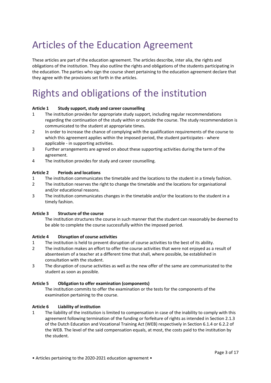# Articles of the Education Agreement

These articles are part of the education agreement. The articles describe, inter alia, the rights and obligations of the institution. They also outline the rights and obligations of the students participating in the education. The parties who sign the course sheet pertaining to the education agreement declare that they agree with the provisions set forth in the articles.

# Rights and obligations of the institution

# **Article 1 Study support, study and career counselling**

- 1 The institution provides for appropriate study support, including regular recommendations regarding the continuation of the study within or outside the course. The study recommendation is communicated to the student at appropriate times.
- 2 In order to increase the chance of complying with the qualification requirements of the course to which this agreement applies within the imposed period, the student participates - where applicable - in supporting activities.
- 3 Further arrangements are agreed on about these supporting activities during the term of the agreement.
- 4 The institution provides for study and career counselling.

# **Article 2 Periods and locations**

- 1 The institution communicates the timetable and the locations to the student in a timely fashion.
- 2 The institution reserves the right to change the timetable and the locations for organisational and/or educational reasons.
- 3 The institution communicates changes in the timetable and/or the locations to the student in a timely fashion.

# **Article 3 Structure of the course**

The institution structures the course in such manner that the student can reasonably be deemed to be able to complete the course successfully within the imposed period.

# **Article 4 Disruption of course activities**

- 1 The institution is held to prevent disruption of course activities to the best of its ability.
- 2 The institution makes an effort to offer the course activities that were not enjoyed as a result of absenteeism of a teacher at a different time that shall, where possible, be established in consultation with the student.
- 3 The disruption of course activities as well as the new offer of the same are communicated to the student as soon as possible.

# **Article 5 Obligation to offer examination (components)**

The institution commits to offer the examination or the tests for the components of the examination pertaining to the course.

# **Article 6 Liability of institution**

1 The liability of the institution is limited to compensation in case of the inability to comply with this agreement following termination of the funding or forfeiture of rights as intended in Section 2.1.3 of the Dutch Education and Vocational Training Act (WEB) respectively in Section 6.1.4 or 6.2.2 of the WEB. The level of the said compensation equals, at most, the costs paid to the institution by the student.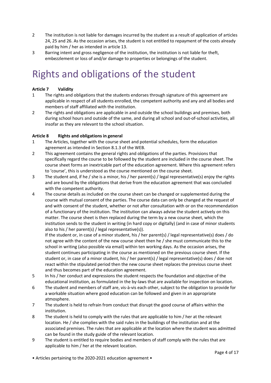- 2 The institution is not liable for damages incurred by the student as a result of application of articles 24, 25 and 26. As the occasion arises, the student is not entitled to repayment of the costs already paid by him / her as intended in article 13.
- 3 Barring intent and gross negligence of the institution, the institution is not liable for theft, embezzlement or loss of and/or damage to properties or belongings of the student.

# Rights and obligations of the student

# **Article 7 Validity**

- 1 The rights and obligations that the students endorses through signature of this agreement are applicable in respect of all students enrolled, the competent authority and any and all bodies and members of staff affiliated with the institution.
- 2 The rights and obligations are applicable in and outside the school buildings and premises, both during school hours and outside of the same, and during all school and out-of-school activities, all insofar as they are relevant to the school situation.

# **Article 8 Rights and obligations in general**

- 1 The Articles, together with the course sheet and potential schedules, form the education agreement as intended in Section 8.1.3 of the WEB.
- 2 This agreement contains the general rights and obligations of the parties. Provisions that specifically regard the course to be followed by the student are included in the course sheet. The course sheet forms an inextricable part of the education agreement. Where this agreement refers to 'course', this is understood as the course mentioned on the course sheet.
- 3 The student and, if he / she is a minor, his / her parent(s) / legal representative(s) enjoy the rights and are bound by the obligations that derive from the education agreement that was concluded with the competent authority.
- 4 The course details as included on the course sheet can be changed or supplemented during the course with mutual consent of the parties. The course data can only be changed at the request of and with consent of the student, whether or not after consultation with or on the recommendation of a functionary of the institution. The institution can always advise the student actively on this matter. The course sheet is then replaced during the term by a new course sheet, which the institution sends to the student in writing (in hard copy or digitally) (and in case of minor students also to his / her parent(s) / legal representative(s)).

If the student or, in case of a minor student, his / her parent(s) / legal representative(s) does / do not agree with the content of the new course sheet then he / she must communicate this to the school in writing (also possible via email) within ten working days. As the occasion arises, the student continues participating in the course as mentioned on the previous course sheet. If the student or, in case of a minor student, his / her parent(s) / legal representative(s) does / doe not react within the stipulated period then the new course sheet replaces the previous course sheet and thus becomes part of the education agreement.

- 5 In his / her conduct and expressions the student respects the foundation and objective of the educational institution, as formulated in the by-laws that are available for inspection on location.
- 6 The student and members of staff are, vis-à-vis each other, subject to the obligation to provide for a workable situation where good education can be followed and given in an appropriate atmosphere.
- 7 The student is held to refrain from conduct that disrupt the good course of affairs within the institution.
- 8 The student is held to comply with the rules that are applicable to him / her at the relevant location. He / she complies with the said rules in the buildings of the institution and at the associated premises. The rules that are applicable at the location where the student was admitted can be found in the study guide of the relevant location.
- 9 The student is entitled to require bodies and members of staff comply with the rules that are applicable to him / her at the relevant location.

• Articles pertaining to the 2020-2021 education agreement •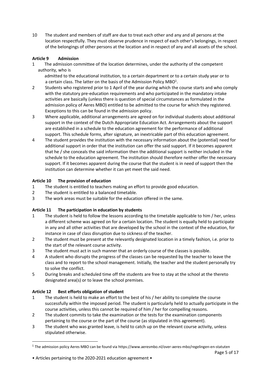10 The student and members of staff are due to treat each other and any and all persons at the location respectfully. They must observe prudence in respect of each other's belongings, in respect of the belongings of other persons at the location and in respect of any and all assets of the school.

# **Article 9 Admission**

- 1 The admission committee of the location determines, under the authority of the competent authority, who is
- admitted to the educational institution, to a certain department or to a certain study year or to a certain class. The latter on the basis of the Admission Policy MBO<sup>1</sup>.
- 2 Students who registered prior to 1 April of the year during which the course starts and who comply with the statutory pre-education requirements and who participated in the mandatory intake activities are basically (unless there is question of special circumstances as formulated in the admission policy of Aeres MBO) entitled to be admitted to the course for which they registered. Exceptions to this can be found in the admission policy.
- 3 Where applicable, additional arrangements are agreed on for individual students about additional support in the context of the Dutch Appropriate Education Act. Arrangements about the support are established in a schedule to the education agreement for the performance of additional support. This schedule forms, after signature, an inextricable part of this education agreement.
- 4 The student provides the institution with the necessary information about the (potential) need for additional support in order that the institution can offer the said support. If it becomes apparent that he / she conceals the said information then the additional support is neither included in the schedule to the education agreement. The institution should therefore neither offer the necessary support. If it becomes apparent during the course that the student is in need of support then the institution can determine whether it can yet meet the said need.

# **Article 10 The provision of education**

- 1 The student is entitled to teachers making an effort to provide good education.
- 2 The student is entitled to a balanced timetable.
- 3 The work areas must be suitable for the education offered in the same.

# **Article 11 The participation in education by students**

- 1 The student is held to follow the lessons according to the timetable applicable to him / her, unless a different scheme was agreed on for a certain location. The student is equally held to participate in any and all other activities that are developed by the school in the context of the education, for instance in case of class disruption due to sickness of the teacher.
- 2 The student must be present at the relevantly designated location in a timely fashion, i.e. prior to the start of the relevant course activity.
- 3 The student must act in such manner that an orderly course of the classes is possible.
- 4 A student who disrupts the progress of the classes can be requested by the teacher to leave the class and to report to the school management. Initially, the teacher and the student personally try to solve the conflict.
- 5 During breaks and scheduled time off the students are free to stay at the school at the thereto designated area(s) or to leave the school premises.

# **Article 12 Best efforts obligation of student**

-

- 1 The student is held to make an effort to the best of his / her ability to complete the course successfully within the imposed period. The student is particularly held to actually participate in the course activities, unless this cannot be required of him / her for compelling reasons.
- 2 The student commits to take the examination or the tests for the examination components pertaining to the course or the part of the course (as stipulated in this agreement).
- 3 The student who was granted leave, is held to catch up on the relevant course activity, unless stipulated otherwise.

<sup>&</sup>lt;sup>1</sup> The admission policy Aeres MBO can be found via<https://www.aeresmbo.nl/over-aeres-mbo/regelingen-en-statuten>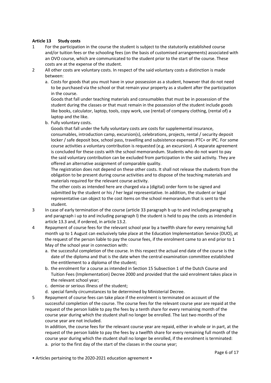# **Article 13 Study costs**

- 1 For the participation in the course the student is subject to the statutorily established course and/or tuition fees or the schooling fees (on the basis of customised arrangements) associated with an OVO course, which are communicated to the student prior to the start of the course. These costs are at the expense of the student.
- 2 All other costs are voluntary costs. In respect of the said voluntary costs a distinction is made between:
	- a. Costs for goods that you must have in your possession as a student, however that do not need to be purchased via the school or that remain your property as a student after the participation in the course.

Goods that fall under teaching materials and consumables that must be in possession of the student during the classes or that must remain in the possession of the student include goods like books, calculator, laptop, tools, copy work, use (rental) of company clothing, (rental of) a laptop and the like.

b. Fully voluntary costs.

Goods that fall under the fully voluntary costs are costs for supplemental insurance, consumables, introduction camp, excursion(s), celebrations, projects, rental / security deposit locker / safe deposit box, school pass, travelling and subsistence expenses PTC+ or IPC. For some course activities a voluntary contribution is requested (e.g. an excursion). A separate agreement is concluded for these costs with the school memorandum. Students who do not want to pay the said voluntary contribution can be excluded from participation in the said activity. They are offered an alternative assignment of comparable quality.

The registration does not depend on these other costs. It shall not release the students from the obligation to be present during course activities and to dispose of the teaching materials and materials required for the relevant course activity.

The other costs as intended here are charged via a (digital) order form to be signed and submitted by the student or his / her legal representative. In addition, the student or legal representative can object to the cost items on the school memorandum that is sent to the student.

- 3 In case of early termination of the course (article 33 paragraph b up to and including paragraph g and paragraph i up to and including paragraph l) the student is held to pay the costs as intended in article 13.3 and, if ordered, in article 13.2.
- 4 Repayment of course fees for the relevant school year by a twelfth share for every remaining full month up to 1 August can exclusively take place at the Education Implementation Service (DUO), at the request of the person liable to pay the course fees, if the enrolment came to an end prior to 1 May of the school year in connection with:
	- a. the successful completion of the course. In this respect the actual end date of the course is the date of the diploma and that is the date when the central examination committee established the entitlement to a diploma of the student;
	- b. the enrolment for a course as intended in Section 15 Subsection 1 of the Dutch Course and Tuition Fees (Implementation) Decree 2000 and provided that the said enrolment takes place in the relevant school year;
	- c. demise or serious illness of the student;
	- d. special family circumstances to be determined by Ministerial Decree.
- 5 Repayment of course fees can take place if the enrolment is terminated on account of the successful completion of the course. The course fees for the relevant course year are repaid at the request of the person liable to pay the fees by a tenth share for every remaining month of the course year during which the student shall no longer be enrolled. The last two months of the course year are not included.

In addition, the course fees for the relevant course year are repaid, either in whole or in part, at the request of the person liable to pay the fees by a twelfth share for every remaining full month of the course year during which the student shall no longer be enrolled, if the enrolment is terminated: a. prior to the first day of the start of the classes in the course year;

• Articles pertaining to the 2020-2021 education agreement •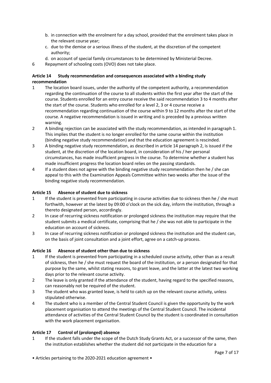- b. in connection with the enrolment for a day school, provided that the enrolment takes place in the relevant course year;
- c. due to the demise or a serious illness of the student, at the discretion of the competent authority;
- d. on account of special family circumstances to be determined by Ministerial Decree.
- 6 Repayment of schooling costs (OVO) does not take place.

# **Article 14 Study recommendation and consequences associated with a binding study recommendation**

- 1 The location board issues, under the authority of the competent authority, a recommendation regarding the continuation of the course to all students within the first year after the start of the course. Students enrolled for an entry course receive the said recommendation 3 to 4 months after the start of the course. Students who enrolled for a level 2, 3 or 4 course receive a recommendation regarding continuation of the course within 9 to 12 months after the start of the course. A negative recommendation is issued in writing and is preceded by a previous written warning.
- 2 A binding rejection can be associated with the study recommendation, as intended in paragraph 1. This implies that the student is no longer enrolled for the same course within the institution (binding negative study recommendation) and that the education agreement is rescinded.
- 3 A binding negative study recommendation, as described in article 14 paragraph 2, is issued if the student, at the discretion of the location board, in consideration of his / her personal circumstances, has made insufficient progress in the course. To determine whether a student has made insufficient progress the location board relies on the passing standards.
- 4 If a student does not agree with the binding negative study recommendation then he / she can appeal to this with the Examination Appeals Committee within two weeks after the issue of the binding negative study recommendation.

# **Article 15 Absence of student due to sickness**

- 1 If the student is prevented from participating in course activities due to sickness then he / she must forthwith, however at the latest by 09:00 o'clock on the sick day, inform the institution, through a thereto designated person, accordingly.
- 2 In case of recurring sickness notification or prolonged sickness the institution may require that the student submits a medical certificate, comprising that he / she was not able to participate in the education on account of sickness.
- 3 In case of recurring sickness notification or prolonged sickness the institution and the student can, on the basis of joint consultation and a joint effort, agree on a catch-up process.

# **Article 16 Absence of student other than due to sickness**

- 1 If the student is prevented from participating in a scheduled course activity, other than as a result of sickness, then he / she must request the board of the institution, or a person designated for that purpose by the same, whilst stating reasons, to grant leave, and the latter at the latest two working days prior to the relevant course activity.
- 2 The leave is only granted if the attendance of the student, having regard to the specified reasons, can reasonably not be required of the student.
- 3 The student who was granted leave, is held to catch up on the relevant course activity, unless stipulated otherwise.
- 4 The student who is a member of the Central Student Council is given the opportunity by the work placement organisation to attend the meetings of the Central Student Council. The incidental attendance of activities of the Central Student Council by the student is coordinated in consultation with the work placement organisation.

# **Article 17 Control of (prolonged) absence**

1 If the student falls under the scope of the Dutch Study Grants Act, or a successor of the same, then the institution establishes whether the student did not participate in the education for a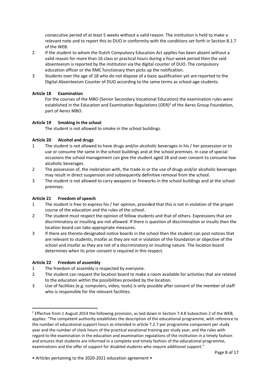consecutive period of at least 5 weeks without a valid reason. The institution is held to make a relevant note and to report this to DUO in conformity with the conditions set forth in Section 8.1.7 of the WEB.

- 2 If the student to whom the Dutch Compulsory Education Act applies has been absent without a valid reason for more than 16 class or practical hours during a four-week period then the said absenteeism is reported by the institution via the digital counter of DUO. The compulsory education officer or the RMC functionary then picks up the notification.
- 3 Students over the age of 18 who do not dispose of a basic qualification yet are reported to the Digital Absenteeism Counter of DUO according to the same terms as school-age students.

# **Article 18 Examination**

For the courses of the MBO (Senior Secondary Vocational Education) the examination rules were established in the Education and Examination Regulations (OER)<sup>2</sup> of the Aeres Group Foundation, part of Aeres MBO.

# **Article 19 Smoking in the school**

The student is not allowed to smoke in the school buildings.

# **Article 20 Alcohol and drugs**

- 1 The student is not allowed to have drugs and/or alcoholic beverages in his / her possession or to use or consume the same in the school buildings and at the school premises. In case of special occasions the school management can give the student aged 18 and over consent to consume lowalcoholic beverages.
- 2 The possession of, the inebriation with, the trade in or the use of drugs and/or alcoholic beverages may result in direct suspension and subsequently definitive removal from the school.
- 3 The student is not allowed to carry weapons or fireworks in the school buildings and at the school premises.

# **Article 21 Freedom of speech**

- 1 The student is free to express his / her opinion, provided that this is not in violation of the proper course of the education and the rules of the school.
- 2 The student must respect the opinion of fellow students and that of others. Expressions that are discriminatory or insulting are not allowed. If there is question of discrimination or insults then the location board can take appropriate measures.
- 3 If there are thereto-designated notice boards in the school then the student can post notices that are relevant to students, insofar as they are not in violation of the foundation or objective of the school and insofar as they are not of a discriminatory or insulting nature. The location board determines when its prior consent is required in this respect.

# **Article 22 Freedom of assembly**

-

- 1 The freedom of assembly is respected by everyone.
- 2 The student can request the location board to make a room available for activities that are related to the education within the possibilities provided by the location.

<sup>3</sup> Use of facilities (e.g. computers, video, tools) is only possible after consent of the member of staff who is responsible for the relevant facilities.

<sup>&</sup>lt;sup>2</sup> Effective from 1 August 2014 the following provision, as laid down in Section 7.4.8 Subsection 2 of the WEB, applies: "The competent authority establishes the description of the educational programme, with reference to the number of educational support hours as intended in article 7.2.7 per programme component per study year and the number of clock hours of the practical vocational training per study year, and the rules with regard to the examination in the education and examination regulations of the institution in a timely fashion and ensures that students are informed in a complete and timely fashion of the educational programme, examinations and the offer of support for disabled students who require additional support."

<sup>•</sup> Articles pertaining to the 2020-2021 education agreement •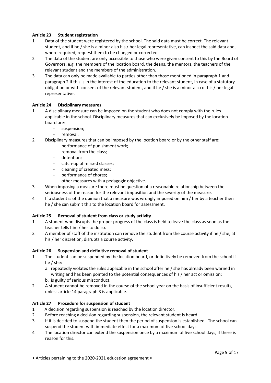# **Article 23 Student registration**

- 1 Data of the student were registered by the school. The said data must be correct. The relevant student, and if he / she is a minor also his / her legal representative, can inspect the said data and, where required, request them to be changed or corrected.
- 2 The data of the student are only accessible to those who were given consent to this by the Board of Governors, e.g. the members of the location board, the deans, the mentors, the teachers of the relevant student and the members of the administration.
- 3 The data can only be made available to parties other than those mentioned in paragraph 1 and paragraph 2 if this is in the interest of the education to the relevant student, in case of a statutory obligation or with consent of the relevant student, and if he / she is a minor also of his / her legal representative.

# **Article 24 Disciplinary measures**

- 1 A disciplinary measure can be imposed on the student who does not comply with the rules applicable in the school. Disciplinary measures that can exclusively be imposed by the location board are:
	- suspension;
	- removal.
- 2 Disciplinary measures that can be imposed by the location board or by the other staff are:
	- performance of punishment work;
	- removal from the class;
	- detention:
	- catch-up of missed classes;
	- cleaning of created mess;
	- performance of chores;
	- other measures with a pedagogic objective.
- 3 When imposing a measure there must be question of a reasonable relationship between the seriousness of the reason for the relevant imposition and the severity of the measure.
- 4 If a student is of the opinion that a measure was wrongly imposed on him / her by a teacher then he / she can submit this to the location board for assessment.

# **Article 25 Removal of student from class or study activity**

- 1 A student who disrupts the proper progress of the class is held to leave the class as soon as the teacher tells him / her to do so.
- 2 A member of staff of the institution can remove the student from the course activity if he / she, at his / her discretion, disrupts a course activity.

# **Article 26 Suspension and definitive removal of student**

- 1 The student can be suspended by the location board, or definitively be removed from the school if he / she:
	- a. repeatedly violates the rules applicable in the school after he / she has already been warned in writing and has been pointed to the potential consequences of his / her act or omission; b. is guilty of serious misconduct.
- 2 A student cannot be removed in the course of the school year on the basis of insufficient results, unless article 14 paragraph 3 is applicable.

# **Article 27 Procedure for suspension of student**

- 1 A decision regarding suspension is reached by the location director.
- 2 Before reaching a decision regarding suspension, the relevant student is heard.
- 3 If it is decided to suspend the student then the period of suspension is established. The school can suspend the student with immediate effect for a maximum of five school days.
- 4 The location director can extend the suspension once by a maximum of five school days, if there is reason for this.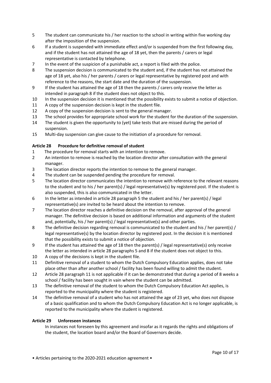- 5 The student can communicate his / her reaction to the school in writing within five working day after the imposition of the suspension.
- 6 If a student is suspended with immediate effect and/or is suspended from the first following day, and if the student has not attained the age of 18 yet, then the parents / carers or legal representative is contacted by telephone.
- 7 In the event of the suspicion of a punishable act, a report is filed with the police.
- 8 The suspension decision is communicated to the student and, if the student has not attained the age of 18 yet, also his / her parents / carers or legal representative by registered post and with reference to the reasons, the start date and the duration of the suspension.
- 9 If the student has attained the age of 18 then the parents / carers only receive the letter as intended in paragraph 8 if the student does not object to this.
- 10 In the suspension decision it is mentioned that the possibility exists to submit a notice of objection.
- 11 A copy of the suspension decision is kept in the student file.
- 12 A copy of the suspension decision is sent to the general manager.
- 13 The school provides for appropriate school work for the student for the duration of the suspension.
- 14 The student is given the opportunity to (yet) take tests that are missed during the period of suspension.
- 15 Multi-day suspension can give cause to the initiation of a procedure for removal.

# **Article 28 Procedure for definitive removal of student**

- 1 The procedure for removal starts with an intention to remove.
- 2 An intention to remove is reached by the location director after consultation with the general manager.
- 3 The location director reports the intention to remove to the general manager.
- 4 The student can be suspended pending the procedure for removal.
- 5 The location director communicates the intention to remove with reference to the relevant reasons to the student and to his / her parent(s) / legal representative(s) by registered post. If the student is also suspended, this is also communicated in the letter.
- 6 In the letter as intended in article 28 paragraph 5 the student and his / her parent(s) / legal representative(s) are invited to be heard about the intention to remove.
- 7 The location director reaches a definitive decision on the removal, after approval of the general manager. The definitive decision is based on additional information and arguments of the student and, potentially, his / her parent(s) / legal representative(s) and other parties.
- 8 The definitive decision regarding removal is communicated to the student and his / her parent(s) / legal representative(s) by the location director by registered post. In the decision it is mentioned that the possibility exists to submit a notice of objection.
- 9 If the student has attained the age of 18 then the parent(s) / legal representative(s) only receive the letter as intended in article 28 paragraphs 5 and 8 if the student does not object to this.
- 10 A copy of the decisions is kept in the student file.
- 11 Definitive removal of a student to whom the Dutch Compulsory Education applies, does not take place other than after another school / facility has been found willing to admit the student.
- 12 Article 28 paragraph 11 is not applicable if it can be demonstrated that during a period of 8 weeks a school / facility has been sought in vain where the student can be admitted.
- 13 The definitive removal of the student to whom the Dutch Compulsory Education Act applies, is reported to the municipality where the student is registered.
- 14 The definitive removal of a student who has not attained the age of 23 yet, who does not dispose of a basic qualification and to whom the Dutch Compulsory Education Act is no longer applicable, is reported to the municipality where the student is registered.

### **Article 29 Unforeseen instances**

In instances not foreseen by this agreement and insofar as it regards the rights and obligations of the student, the location board and/or the Board of Governors decide.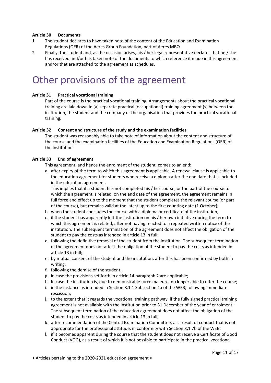## **Article 30 Documents**

- 1 The student declares to have taken note of the content of the Education and Examination Regulations (OER) of the Aeres Group Foundation, part of Aeres MBO.
- 2 Finally, the student and, as the occasion arises, his / her legal representative declares that he / she has received and/or has taken note of the documents to which reference it made in this agreement and/or that are attached to the agreement as schedules.

# Other provisions of the agreement

## **Article 31 Practical vocational training**

Part of the course is the practical vocational training. Arrangements about the practical vocational training are laid down in (a) separate practical (occupational) training agreement (s) between the institution, the student and the company or the organisation that provides the practical vocational training.

## **Article 32 Content and structure of the study and the examination facilities**

The student was reasonably able to take note of information about the content and structure of the course and the examination facilities of the Education and Examination Regulations (OER) of the institution.

## **Article 33 End of agreement**

This agreement, and hence the enrolment of the student, comes to an end:

a. after expiry of the term to which this agreement is applicable. A renewal clause is applicable to the education agreement for students who receive a diploma after the end date that is included in the education agreement.

This implies that if a student has not completed his / her course, or the part of the course to which the agreement is related, on the end date of the agreement, the agreement remains in full force and effect up to the moment that the student completes the relevant course (or part of the course), but remains valid at the latest up to the first counting date (1 October);

- b. when the student concludes the course with a diploma or certificate of the institution;
- c. if the student has apparently left the institution on his / her own initiative during the term to which this agreement is related, after not having reacted to a repeated written notice of the institution. The subsequent termination of the agreement does not affect the obligation of the student to pay the costs as intended in article 13 in full;
- d. following the definitive removal of the student from the institution. The subsequent termination of the agreement does not affect the obligation of the student to pay the costs as intended in article 13 in full;
- e. by mutual consent of the student and the institution, after this has been confirmed by both in writing;
- f. following the demise of the student;
- g. in case the provisions set forth in article 14 paragraph 2 are applicable;
- h. In case the institution is, due to demonstrable force majeure, no longer able to offer the course;
- i. in the instance as intended in Section 8.1.1 Subsection 1a of the WEB, following immediate rescission;
- j. to the extent that it regards the vocational training pathway, if the fully signed practical training agreement is not available with the institution prior to 31 December of the year of enrolment. The subsequent termination of the education agreement does not affect the obligation of the student to pay the costs as intended in article 13 in full;
- k. after recommendation of the Central Examination Committee, as a result of conduct that is not appropriate for the professional attitude, in conformity with Section 8.1.7b of the WEB;
- l. if it becomes apparent during the course that the student does not receive a Certificate of Good Conduct (VOG), as a result of which it is not possible to participate in the practical vocational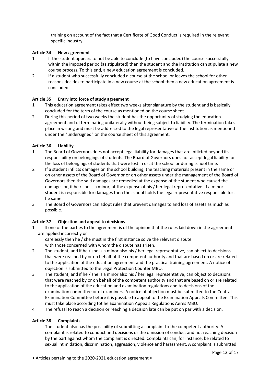training on account of the fact that a Certificate of Good Conduct is required in the relevant specific industry.

# **Article 34 New agreement**

- 1 If the student appears to not be able to conclude (to have concluded) the course successfully within the imposed period (as stipulated) then the student and the institution can stipulate a new course process. To this end, a new education agreement is concluded.
- 2 If a student who successfully concluded a course at the school or leaves the school for other reasons decides to participate in a new course at the school then a new education agreement is concluded.

## **Article 35 Entry into force of study agreement**

- 1 This education agreement takes effect two weeks after signature by the student and is basically concluded for the term of the course as mentioned on the course sheet.
- 2 During this period of two weeks the student has the opportunity of studying the education agreement and of terminating unilaterally without being subject to liability. The termination takes place in writing and must be addressed to the legal representative of the institution as mentioned under the "undersigned" on the course sheet of this agreement.

## **Article 36 Liability**

- 1 The Board of Governors does not accept legal liability for damages that are inflicted beyond its responsibility on belongings of students. The Board of Governors does not accept legal liability for the loss of belongings of students that were lost in or at the school or during school time.
- 2 If a student inflicts damages on the school building, the teaching materials present in the same or on other assets of the Board of Governor or on other assets under the management of the Board of Governors then the said damages are remedied at the expense of the student who caused the damages or, if he / she is a minor, at the expense of his / her legal representative. If a minor student is responsible for damages then the school holds the legal representative responsible fort he same.
- 3 The Board of Governors can adopt rules that prevent damages to and loss of assets as much as possible.

### **Article 37 Objection and appeal to decisions**

1 If one of the parties to the agreement is of the opinion that the rules laid down in the agreement are applied incorrectly or

carelessly then he / she must in the first instance solve the relevant dispute with those concerned with whom the dispute has arisen.

- 2 The student, and if he / she is a minor also his / her legal representative, can object to decisions that were reached by or on behalf of the competent authority and that are based on or are related to the application of the education agreement and the practical training agreement. A notice of objection is submitted to the Legal Protection Counter MBO.
- 3 The student, and if he / she is a minor also his / her legal representative, can object to decisions that were reached by or on behalf of the competent authority and that are based on or are related to the application of the education and examination regulations and to decisions of the examination committee or of examiners. A notice of objection must be submitted to the Central Examination Committee before it is possible to appeal to the Examination Appeals Committee. This must take place according tot he Examination Appeals Regulations Aeres MBO.
- 4 The refusal to reach a decision or reaching a decision late can be put on par with a decision.

### **Article 38 Complaints**

The student also has the possibility of submitting a complaint to the competent authority. A complaint is related to conduct and decisions or the omission of conduct and not reaching decision by the part against whom the complaint is directed. Complaints can, for instance, be related to sexual intimidation, discrimination, aggression, violence and harassment. A complaint is submitted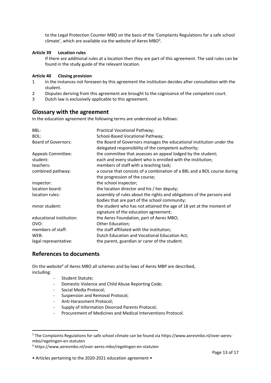to the Legal Protection Counter MBO on the basis of the 'Complaints Regulations for a safe school climate', which are available via the website of Aeres MBO<sup>3</sup>.

# **Article 39 Location rules**

If there are additional rules at a location then they are part of this agreement. The said rules can be found in the study guide of the relevant location.

### **Article 40 Closing provision**

- 1 In the instances not foreseen by this agreement the institution decides after consultation with the student.
- 2 Disputes deriving from this agreement are brought to the cognisance of the competent court.
- 3 Dutch law is exclusively applicable to this agreement.

# **Glossary with the agreement**

In the education agreement the following terms are understood as follows:

| BBL:<br>BOL:<br><b>Board of Governors:</b> | Practical Vocational Pathway;<br>School-Based Vocational Pathway;<br>the Board of Governors manages the educational institution under the<br>delegated responsibility of the competent authority; |
|--------------------------------------------|---------------------------------------------------------------------------------------------------------------------------------------------------------------------------------------------------|
| <b>Appeals Committee:</b>                  | the committee that assesses an appeal lodged by the student;                                                                                                                                      |
| student:                                   | each and every student who is enrolled with the institution;                                                                                                                                      |
| teachers:                                  | members of staff with a teaching task;                                                                                                                                                            |
| combined pathway:                          | a course that consists of a combination of a BBL and a BOL course during<br>the progression of the course;                                                                                        |
| inspector:                                 | the school inspector;                                                                                                                                                                             |
| location board:                            | the location director and his / her deputy;                                                                                                                                                       |
| location rules:                            | assembly of rules about the rights and obligations of the persons and<br>bodies that are part of the school community;                                                                            |
| minor student:                             | the student who has not attained the age of 18 yet at the moment of<br>signature of the education agreement;                                                                                      |
| educational institution:                   | the Aeres Foundation, part of Aeres MBO;                                                                                                                                                          |
| OVO:                                       | Other Education;                                                                                                                                                                                  |
| members of staff:                          | the staff affiliated with the institution;                                                                                                                                                        |
| WEB:                                       | Dutch Education and Vocational Education Act;                                                                                                                                                     |
| legal representative:                      | the parent, guardian or carer of the student.                                                                                                                                                     |

# **References to documents**

-

On the website<sup>4</sup> of Aeres MBO all schemes and by-laws of Aeres MBP are described, including:

- Student Statute;
- Domestic Violence and Child Abuse Reporting Code;
- Social Media Protocol;
- Suspension and Removal Protocol;
- Anti-Harassment Protocol;
- Supply of Information Divorced Parents Protocol;
- Procurement of Medicines and Medical Interventions Protocol.

<sup>&</sup>lt;sup>3</sup> The Complaints Regulations for safe school climate can be found via [https://www.aeresmbo.nl/over-aeres](https://www.aeresmbo.nl/over-aeres-mbo/regelingen-en-statuten)[mbo/regelingen-en-statuten](https://www.aeresmbo.nl/over-aeres-mbo/regelingen-en-statuten)

<sup>4</sup> <https://www.aeresmbo.nl/over-aeres-mbo/regelingen-en-statuten>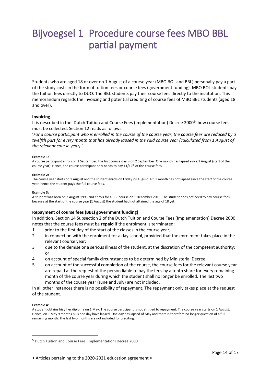# Bijvoegsel 1 Procedure course fees MBO BBL partial payment

Students who are aged 18 or over on 1 August of a course year (MBO BOL and BBL) personally pay a part of the study costs in the form of tuition fees or course fees (government funding). MBO BOL students pay the tuition fees directly to DUO. The BBL students pay their course fees directly to the institution. This memorandum regards the invoicing and potential crediting of course fees of MBO BBL students (aged 18 and over).

### **Invoicing**

It is described in the 'Dutch Tuition and Course Fees (Implementation) Decree 2000<sup>5</sup>' how course fees must be collected. Section 12 reads as follows:

'*For a course participant who is enrolled in the course of the course year, the course fees are reduced by a twelfth part for every month that has already lapsed in the said course year (calculated from 1 August of the relevant course year).*'

### **Example 1:**

A course participant enrols on 1 September, the first course day is on 2 September. One month has lapsed since 1 August (start of the course year). Hence, the course participant only needs to pay 11/12<sup>th</sup> of the course fees.

### **Example 2:**

The course year starts on 1 August and the student enrols on Friday 29 August. A full month has not lapsed since the start of the course year, hence the student pays the full course fees.

### **Example 3:**

A student was born on 2 August 1995 and enrols for a BBL course on 1 December 2013. The student does not need to pay course fees because at the start of the course year (1 August) the student had not attained the age of 18 yet.

### **Repayment of course fees (BBL) government funding)**

In addition, Section 14 Subsection 2 of the Dutch Tuition and Course Fees (Implementation) Decree 2000 notes that the course fees must be **repaid** if the enrolment is terminated:

- 1 prior to the first day of the start of the classes in the course year;
- 2 in connection with the enrolment for a day school, provided that the enrolment takes place in the relevant course year;
- 3 due to the demise or a serious illness of the student, at the discretion of the competent authority; or
- 4 on account of special family circumstances to be determined by Ministerial Decree;
- 5 on account of the successful completion of the course, the course fees for the relevant course year are repaid at the request of the person liable to pay the fees by a tenth share for every remaining month of the course year during which the student shall no longer be enrolled. The last two months of the course year (June and July) are not included.

In all other instances there is no possibility of repayment. The repayment only takes place at the request of the student.

### **Example 4:**

-

A student obtains his / her diploma on 1 May. The course participant is not entitled to repayment. The course year starts on 1 August. Hence, on 1 May 9 months plus one day have lapsed. One day has lapsed of May and there is therefore no longer question of a full remaining month. The last two months are not included for crediting.

<sup>5</sup> Dutch Tuition and Course Fees (Implementation) Decree 2000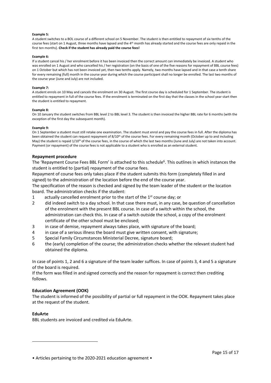#### **Example 5:**

A student switches to a BOL course of a different school on 5 November. The student is then entitled to repayment of six tenths of the course fees (start on 1 August, three months have lapsed and the 4<sup>th</sup> month has already started and the course fees are only repaid in the first ten months). **Check if the student has already paid the course fees!**

#### **Example 6:**

If a student cancel his / her enrolment before it has been invoiced then the correct amount can immediately be invoiced. A student who was enrolled on 1 August and who cancelled his / her registration (on the basis of one of the five reasons for repayment of BBL course fees) on 1 October but which has not been invoiced yet, then two tenths apply. Namely, two months have lapsed and in that case a tenth share for every remaining (full) month in the course year during which the course participant shall no longer be enrolled. The last two months of the course year (June and July) are not included.

#### **Example 7:**

A student enrols on 10 May and cancels the enrolment on 30 August. The first course day is scheduled for 1 September. The student is entitled to repayment in full of the course fees. If the enrolment is terminated on the first day that the classes in the school year start then the student is entitled to repayment.

#### **Example 8:**

On 10 January the student switches from BBL level 2 to BBL level 3. The student is then invoiced the higher BBL rate for 6 months (with the exception of the first day the subsequent month).

#### **Example 9:**

On 1 September a student must still retake one examination. The student must enrol and pay the course fees in full. After the diploma has been obtained the student can request repayment of 8/10<sup>th</sup> of the course fees. For every remaining month (October up to and including May) the student is repaid 1/10<sup>th</sup> of the course fees, in the course of which the last two months (June and July) are not taken into account. Payment (or repayment) of the course fees is not applicable to a student who is enrolled as an external student.

### **Repayment procedure**

The 'Repayment Course Fees BBL Form' is attached to this schedule<sup>6</sup>. This outlines in which instances the student is entitled to (partial) repayment of the course fees.

Repayment of course fees only takes place if the student submits this form (completely filled in and signed) to the administration of the location before the end of the course year.

The specification of the reason is checked and signed by the team leader of the student or the location board. The administration checks if the student:

- 1 actually cancelled enrolment prior to the start of the  $1<sup>st</sup>$  course day; or
- 2 did indeed switch to a day school. In that case there must, in any case, be question of cancellation of the enrolment with the present BBL course. In case of a switch within the school, the administration can check this. In case of a switch outside the school, a copy of the enrolment certificate of the other school must be enclosed;
- 3 in case of demise, repayment always takes place, with signature of the board;
- 4 in case of a serious illness the board must give written consent, with signature;
- 5 Special Family Circumstances Ministerial Decree, signature board;
- 6 the (early) completion of the course; the administration checks whether the relevant student had obtained the diploma.

In case of points 1, 2 and 6 a signature of the team leader suffices. In case of points 3, 4 and 5 a signature of the board is required.

If the form was filled in and signed correctly and the reason for repayment is correct then crediting follows.

### **Education Agreement (OOK)**

The student is informed of the possibility of partial or full repayment in the OOK. Repayment takes place at the request of the student.

### **EduArte**

-

BBL students are invoiced and credited via EduArte.

<sup>•</sup> Articles pertaining to the 2020-2021 education agreement •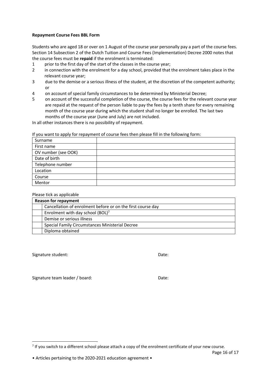## **Repayment Course Fees BBL Form**

Students who are aged 18 or over on 1 August of the course year personally pay a part of the course fees. Section 14 Subsection 2 of the Dutch Tuition and Course Fees (Implementation) Decree 2000 notes that the course fees must be **repaid** if the enrolment is terminated:

- 1 prior to the first day of the start of the classes in the course year;
- 2 in connection with the enrolment for a day school, provided that the enrolment takes place in the relevant course year;
- 3 due to the demise or a serious illness of the student, at the discretion of the competent authority; or
- 4 on account of special family circumstances to be determined by Ministerial Decree;
- 5 on account of the successful completion of the course, the course fees for the relevant course year are repaid at the request of the person liable to pay the fees by a tenth share for every remaining month of the course year during which the student shall no longer be enrolled. The last two months of the course year (June and July) are not included.

In all other instances there is no possibility of repayment.

If you want to apply for repayment of course fees then please fill in the following form:

| Surname             |  |
|---------------------|--|
| First name          |  |
| OV number (see OOK) |  |
| Date of birth       |  |
| Telephone number    |  |
| Location            |  |
| Course              |  |
| Mentor              |  |

### Please tick as applicable

| <b>Reason for repayment</b> |                                                             |  |
|-----------------------------|-------------------------------------------------------------|--|
|                             | Cancellation of enrolment before or on the first course day |  |
|                             | Enrolment with day school (BOL) <sup>7</sup>                |  |
|                             | Demise or serious illness                                   |  |
|                             | Special Family Circumstances Ministerial Decree             |  |
|                             | Diploma obtained                                            |  |

Signature student: Date: Date: Date: Date: Date: Date: Date: Date: Date: Date: Date: Date: Date: Date: Date: Date: Date: Date: Date: Date: Date: Date: Date: Date: Date: Date: Date: Date: Date: Date: Date: Date: Date: Date:

-

Signature team leader / board: Date: Date:

 $<sup>7</sup>$  If you switch to a different school please attach a copy of the enrolment certificate of your new course.</sup>